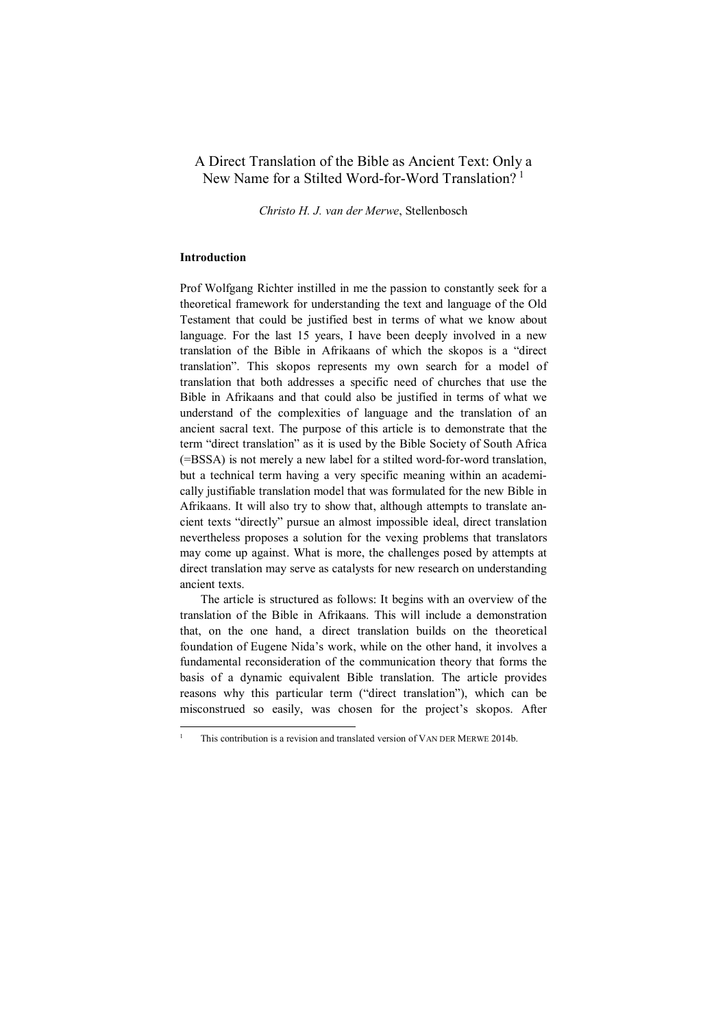# A Direct Translation of the Bible as Ancient Text: Only a New Name for a Stilted Word-for-Word Translation?<sup>[1](#page-0-0)</sup>

*Christo H. J. van der Merwe*, Stellenbosch

## **Introduction**

Prof Wolfgang Richter instilled in me the passion to constantly seek for a theoretical framework for understanding the text and language of the Old Testament that could be justified best in terms of what we know about language. For the last 15 years, I have been deeply involved in a new translation of the Bible in Afrikaans of which the skopos is a "direct translation". This skopos represents my own search for a model of translation that both addresses a specific need of churches that use the Bible in Afrikaans and that could also be justified in terms of what we understand of the complexities of language and the translation of an ancient sacral text. The purpose of this article is to demonstrate that the term "direct translation" as it is used by the Bible Society of South Africa (=BSSA) is not merely a new label for a stilted word-for-word translation, but a technical term having a very specific meaning within an academically justifiable translation model that was formulated for the new Bible in Afrikaans. It will also try to show that, although attempts to translate ancient texts "directly" pursue an almost impossible ideal, direct translation nevertheless proposes a solution for the vexing problems that translators may come up against. What is more, the challenges posed by attempts at direct translation may serve as catalysts for new research on understanding ancient texts.

The article is structured as follows: It begins with an overview of the translation of the Bible in Afrikaans. This will include a demonstration that, on the one hand, a direct translation builds on the theoretical foundation of Eugene Nida's work, while on the other hand, it involves a fundamental reconsideration of the communication theory that forms the basis of a dynamic equivalent Bible translation. The article provides reasons why this particular term ("direct translation"), which can be misconstrued so easily, was chosen for the project's skopos. After

<span id="page-0-0"></span>This contribution is a revision and translated version of VAN DER MERWE 2014b.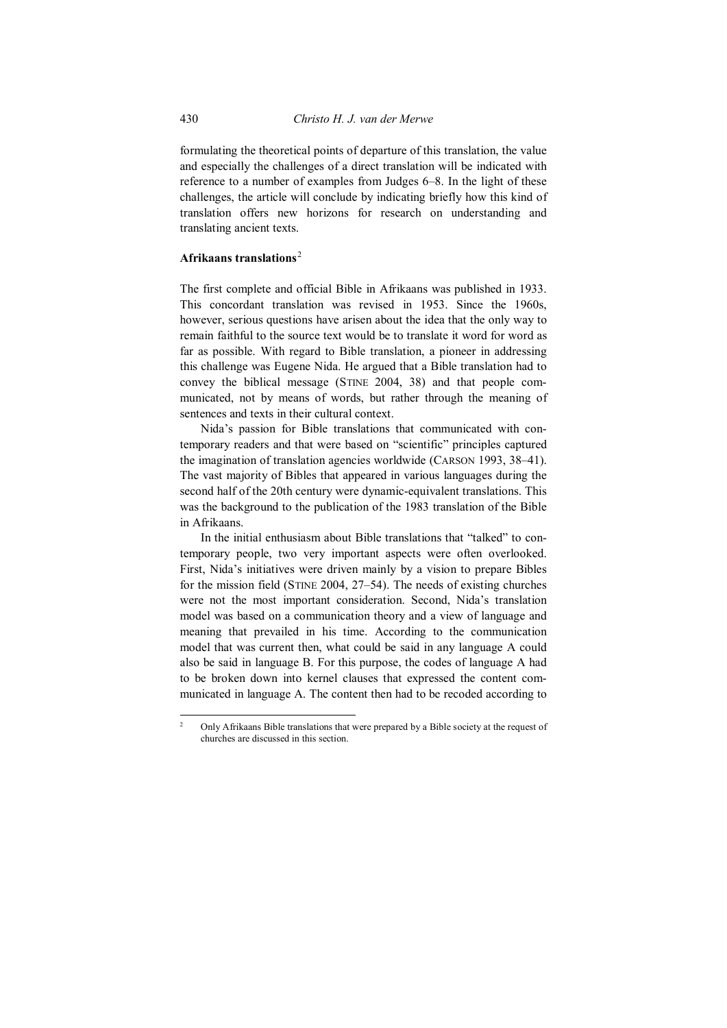formulating the theoretical points of departure of this translation, the value and especially the challenges of a direct translation will be indicated with reference to a number of examples from Judges 6–8. In the light of these challenges, the article will conclude by indicating briefly how this kind of translation offers new horizons for research on understanding and translating ancient texts.

# **Afrikaans translations**[2](#page-1-0)

The first complete and official Bible in Afrikaans was published in 1933. This concordant translation was revised in 1953. Since the 1960s, however, serious questions have arisen about the idea that the only way to remain faithful to the source text would be to translate it word for word as far as possible. With regard to Bible translation, a pioneer in addressing this challenge was Eugene Nida. He argued that a Bible translation had to convey the biblical message (STINE 2004, 38) and that people communicated, not by means of words, but rather through the meaning of sentences and texts in their cultural context.

Nida's passion for Bible translations that communicated with contemporary readers and that were based on "scientific" principles captured the imagination of translation agencies worldwide (CARSON 1993, 38–41). The vast majority of Bibles that appeared in various languages during the second half of the 20th century were dynamic-equivalent translations. This was the background to the publication of the 1983 translation of the Bible in Afrikaans.

In the initial enthusiasm about Bible translations that "talked" to contemporary people, two very important aspects were often overlooked. First, Nida's initiatives were driven mainly by a vision to prepare Bibles for the mission field (STINE 2004, 27–54). The needs of existing churches were not the most important consideration. Second, Nida's translation model was based on a communication theory and a view of language and meaning that prevailed in his time. According to the communication model that was current then, what could be said in any language A could also be said in language B. For this purpose, the codes of language A had to be broken down into kernel clauses that expressed the content communicated in language A. The content then had to be recoded according to

<span id="page-1-0"></span><sup>&</sup>lt;sup>2</sup> Only Afrikaans Bible translations that were prepared by a Bible society at the request of churches are discussed in this section.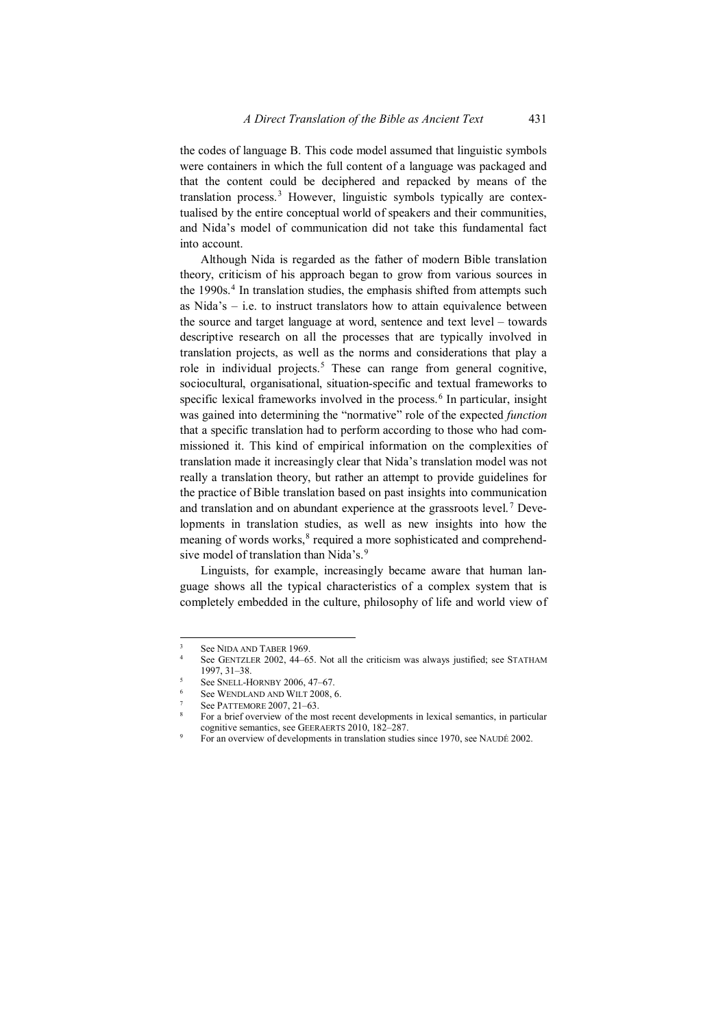the codes of language B. This code model assumed that linguistic symbols were containers in which the full content of a language was packaged and that the content could be deciphered and repacked by means of the translation process.<sup>[3](#page-2-0)</sup> However, linguistic symbols typically are contextualised by the entire conceptual world of speakers and their communities, and Nida's model of communication did not take this fundamental fact into account.

Although Nida is regarded as the father of modern Bible translation theory, criticism of his approach began to grow from various sources in the 1990s. [4](#page-2-1) In translation studies, the emphasis shifted from attempts such as Nida's  $-$  i.e. to instruct translators how to attain equivalence between the source and target language at word, sentence and text level – towards descriptive research on all the processes that are typically involved in translation projects, as well as the norms and considerations that play a role in individual projects. [5](#page-2-2) These can range from general cognitive, sociocultural, organisational, situation-specific and textual frameworks to specific lexical frameworks involved in the process. [6](#page-2-3) In particular, insight was gained into determining the "normative" role of the expected *function*  that a specific translation had to perform according to those who had commissioned it. This kind of empirical information on the complexities of translation made it increasingly clear that Nida's translation model was not really a translation theory, but rather an attempt to provide guidelines for the practice of Bible translation based on past insights into communication and translation and on abundant experience at the grassroots level. [7](#page-2-4) Developments in translation studies, as well as new insights into how the meaning of words works, [8](#page-2-5) required a more sophisticated and comprehend-sive model of translation than Nida's.<sup>[9](#page-2-6)</sup>

Linguists, for example, increasingly became aware that human language shows all the typical characteristics of a complex system that is completely embedded in the culture, philosophy of life and world view of

See NIDA AND TABER 1969

<span id="page-2-1"></span><span id="page-2-0"></span>See GENTZLER 2002, 44-65. Not all the criticism was always justified; see STATHAM 1997, 31–38.

See SNELL-HORNBY 2006, 47-67.

<span id="page-2-2"></span>See WENDLAND AND WILT 2008, 6.

See PATTEMORE 2007, 21-63.

<span id="page-2-5"></span><span id="page-2-4"></span><span id="page-2-3"></span><sup>8</sup> For a brief overview of the most recent developments in lexical semantics, in particular cognitive semantics, see GEERAERTS 2010, 182–287.<br>For an overview of developments in translation studies since 1970, see NAUDÉ 2002.

<span id="page-2-6"></span>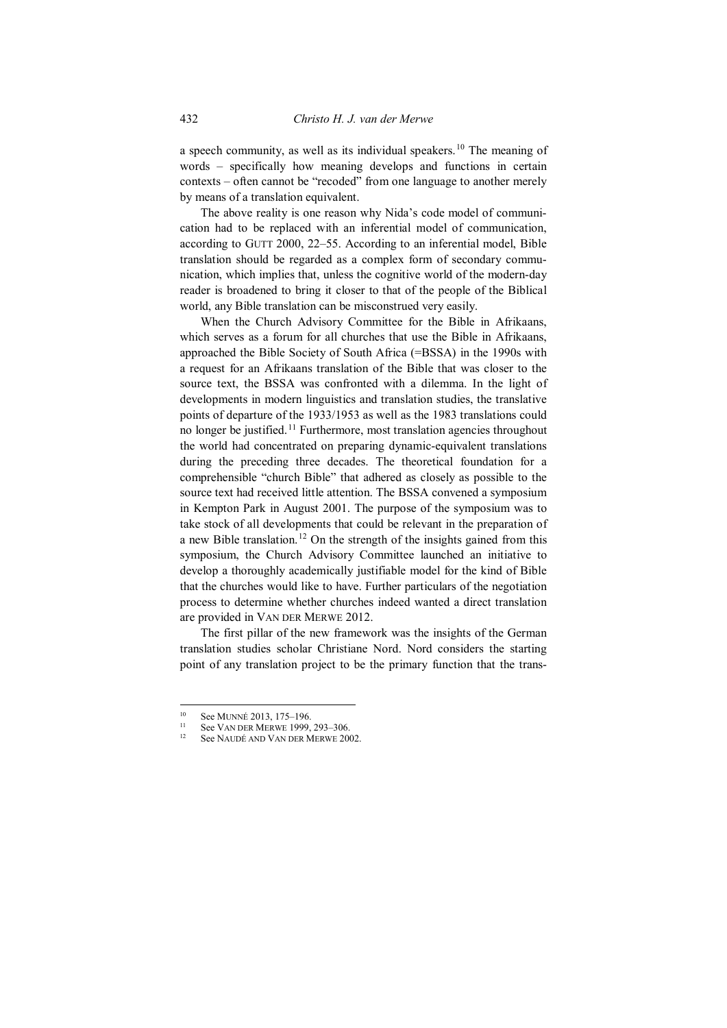a speech community, as well as its individual speakers.<sup>[10](#page-3-0)</sup> The meaning of words – specifically how meaning develops and functions in certain contexts – often cannot be "recoded" from one language to another merely by means of a translation equivalent.

The above reality is one reason why Nida's code model of communication had to be replaced with an inferential model of communication, according to GUTT 2000, 22–55. According to an inferential model, Bible translation should be regarded as a complex form of secondary communication, which implies that, unless the cognitive world of the modern-day reader is broadened to bring it closer to that of the people of the Biblical world, any Bible translation can be misconstrued very easily.

When the Church Advisory Committee for the Bible in Afrikaans, which serves as a forum for all churches that use the Bible in Afrikaans, approached the Bible Society of South Africa (=BSSA) in the 1990s with a request for an Afrikaans translation of the Bible that was closer to the source text, the BSSA was confronted with a dilemma. In the light of developments in modern linguistics and translation studies, the translative points of departure of the 1933/1953 as well as the 1983 translations could no longer be justified.<sup>[11](#page-3-1)</sup> Furthermore, most translation agencies throughout the world had concentrated on preparing dynamic-equivalent translations during the preceding three decades. The theoretical foundation for a comprehensible "church Bible" that adhered as closely as possible to the source text had received little attention. The BSSA convened a symposium in Kempton Park in August 2001. The purpose of the symposium was to take stock of all developments that could be relevant in the preparation of a new Bible translation.<sup>[12](#page-3-2)</sup> On the strength of the insights gained from this symposium, the Church Advisory Committee launched an initiative to develop a thoroughly academically justifiable model for the kind of Bible that the churches would like to have. Further particulars of the negotiation process to determine whether churches indeed wanted a direct translation are provided in VAN DER MERWE 2012.

The first pillar of the new framework was the insights of the German translation studies scholar Christiane Nord. Nord considers the starting point of any translation project to be the primary function that the trans-

<span id="page-3-2"></span><span id="page-3-1"></span><span id="page-3-0"></span><sup>&</sup>lt;sup>10</sup> See MUNNÉ 2013, 175–196.<br><sup>11</sup> See VAN DER MERWE 1999, 293–306.

See NAUDÉ AND VAN DER MERWE 2002.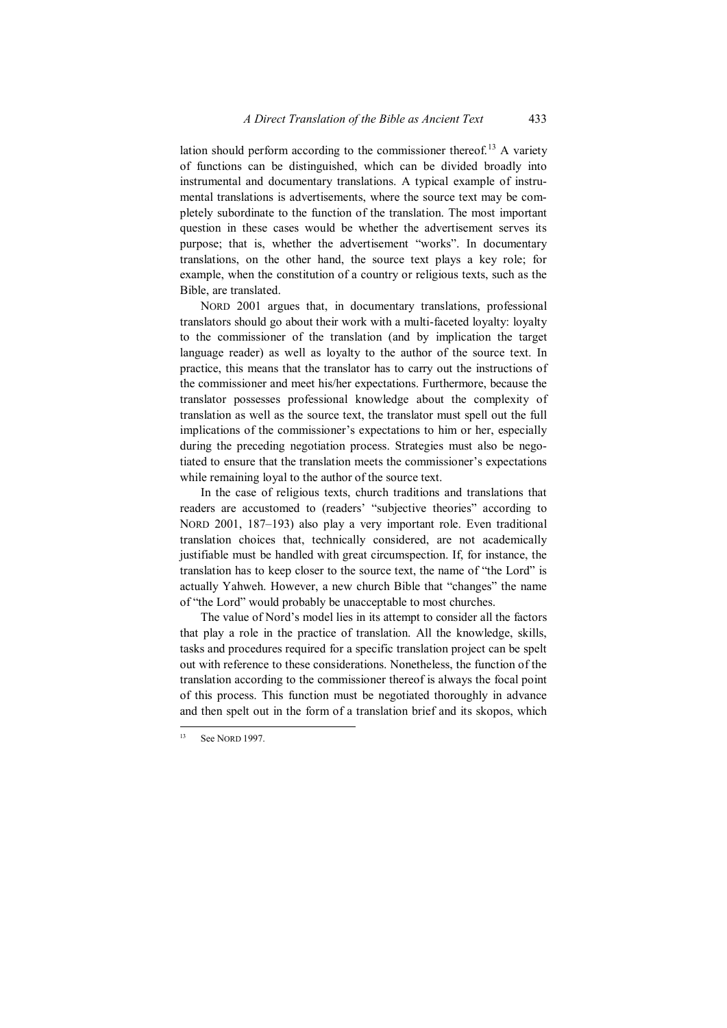lation should perform according to the commissioner thereof. [13](#page-4-0) A variety of functions can be distinguished, which can be divided broadly into instrumental and documentary translations. A typical example of instrumental translations is advertisements, where the source text may be completely subordinate to the function of the translation. The most important question in these cases would be whether the advertisement serves its purpose; that is, whether the advertisement "works". In documentary translations, on the other hand, the source text plays a key role; for example, when the constitution of a country or religious texts, such as the Bible, are translated.

NORD 2001 argues that, in documentary translations, professional translators should go about their work with a multi-faceted loyalty: loyalty to the commissioner of the translation (and by implication the target language reader) as well as loyalty to the author of the source text. In practice, this means that the translator has to carry out the instructions of the commissioner and meet his/her expectations. Furthermore, because the translator possesses professional knowledge about the complexity of translation as well as the source text, the translator must spell out the full implications of the commissioner's expectations to him or her, especially during the preceding negotiation process. Strategies must also be negotiated to ensure that the translation meets the commissioner's expectations while remaining loyal to the author of the source text.

In the case of religious texts, church traditions and translations that readers are accustomed to (readers' "subjective theories" according to NORD 2001, 187–193) also play a very important role. Even traditional translation choices that, technically considered, are not academically justifiable must be handled with great circumspection. If, for instance, the translation has to keep closer to the source text, the name of "the Lord" is actually Yahweh. However, a new church Bible that "changes" the name of "the Lord" would probably be unacceptable to most churches.

The value of Nord's model lies in its attempt to consider all the factors that play a role in the practice of translation. All the knowledge, skills, tasks and procedures required for a specific translation project can be spelt out with reference to these considerations. Nonetheless, the function of the translation according to the commissioner thereof is always the focal point of this process. This function must be negotiated thoroughly in advance and then spelt out in the form of a translation brief and its skopos, which

<span id="page-4-0"></span>See NORD 1997.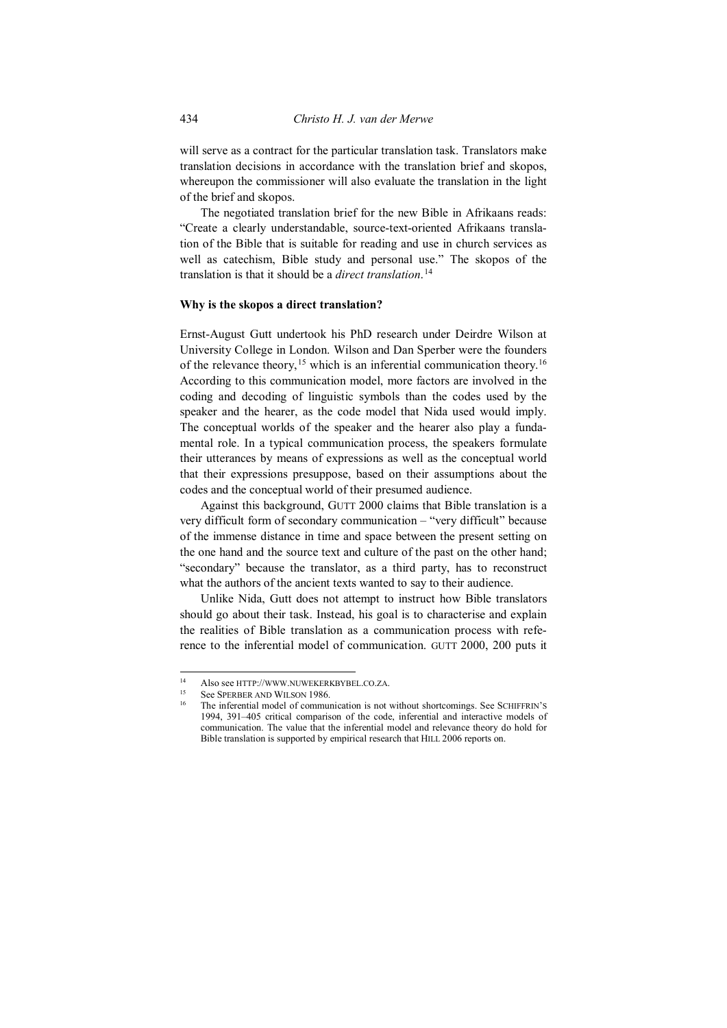will serve as a contract for the particular translation task. Translators make translation decisions in accordance with the translation brief and skopos, whereupon the commissioner will also evaluate the translation in the light of the brief and skopos.

The negotiated translation brief for the new Bible in Afrikaans reads: "Create a clearly understandable, source-text-oriented Afrikaans translation of the Bible that is suitable for reading and use in church services as well as catechism, Bible study and personal use." The skopos of the translation is that it should be a *direct translation*. [14](#page-5-0)

#### **Why is the skopos a direct translation?**

Ernst-August Gutt undertook his PhD research under Deirdre Wilson at University College in London. Wilson and Dan Sperber were the founders of the relevance theory, <sup>[15](#page-5-1)</sup> which is an inferential communication theory.<sup>[16](#page-5-2)</sup> According to this communication model, more factors are involved in the coding and decoding of linguistic symbols than the codes used by the speaker and the hearer, as the code model that Nida used would imply. The conceptual worlds of the speaker and the hearer also play a fundamental role. In a typical communication process, the speakers formulate their utterances by means of expressions as well as the conceptual world that their expressions presuppose, based on their assumptions about the codes and the conceptual world of their presumed audience.

Against this background, GUTT 2000 claims that Bible translation is a very difficult form of secondary communication – "very difficult" because of the immense distance in time and space between the present setting on the one hand and the source text and culture of the past on the other hand; "secondary" because the translator, as a third party, has to reconstruct what the authors of the ancient texts wanted to say to their audience.

Unlike Nida, Gutt does not attempt to instruct how Bible translators should go about their task. Instead, his goal is to characterise and explain the realities of Bible translation as a communication process with reference to the inferential model of communication. GUTT 2000, 200 puts it

<span id="page-5-2"></span><span id="page-5-1"></span><span id="page-5-0"></span> <sup>14</sup> Also see HTTP://WWW.NUWEKERKBYBEL.CO.ZA.

See SPERBER AND WILSON 1986.

The inferential model of communication is not without shortcomings. See SCHIFFRIN'S 1994, 391–405 critical comparison of the code, inferential and interactive models of communication. The value that the inferential model and relevance theory do hold for Bible translation is supported by empirical research that HILL 2006 reports on.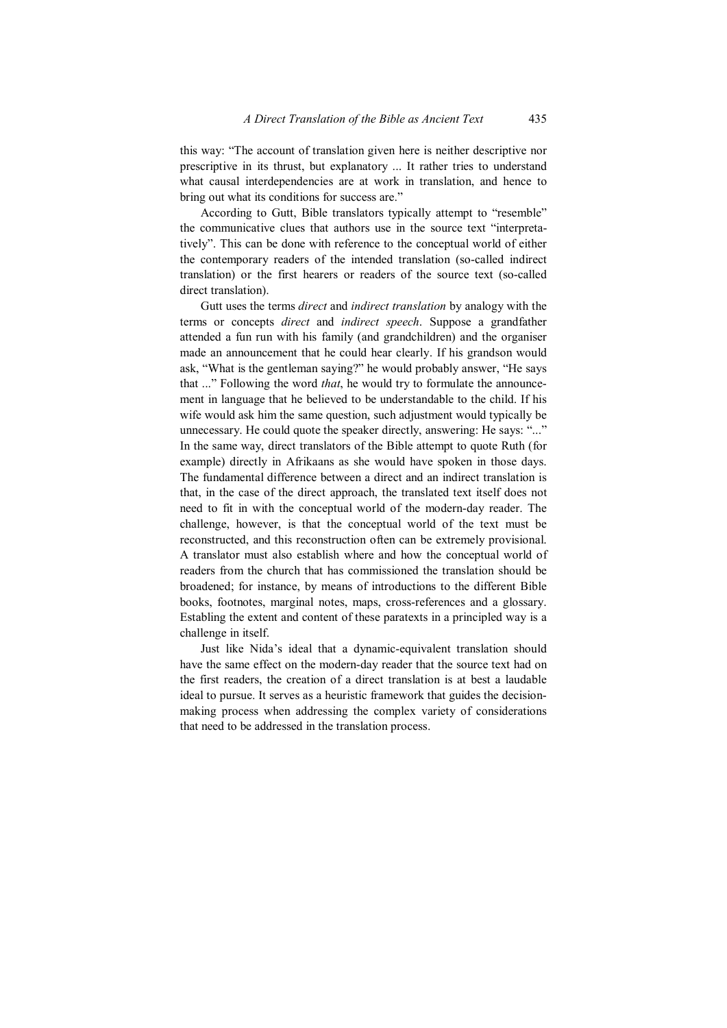this way: "The account of translation given here is neither descriptive nor prescriptive in its thrust, but explanatory ... It rather tries to understand what causal interdependencies are at work in translation, and hence to bring out what its conditions for success are."

According to Gutt, Bible translators typically attempt to "resemble" the communicative clues that authors use in the source text "interpretatively". This can be done with reference to the conceptual world of either the contemporary readers of the intended translation (so-called indirect translation) or the first hearers or readers of the source text (so-called direct translation).

Gutt uses the terms *direct* and *indirect translation* by analogy with the terms or concepts *direct* and *indirect speech*. Suppose a grandfather attended a fun run with his family (and grandchildren) and the organiser made an announcement that he could hear clearly. If his grandson would ask, "What is the gentleman saying?" he would probably answer, "He says that ..." Following the word *that*, he would try to formulate the announcement in language that he believed to be understandable to the child. If his wife would ask him the same question, such adjustment would typically be unnecessary. He could quote the speaker directly, answering: He says: "..." In the same way, direct translators of the Bible attempt to quote Ruth (for example) directly in Afrikaans as she would have spoken in those days. The fundamental difference between a direct and an indirect translation is that, in the case of the direct approach, the translated text itself does not need to fit in with the conceptual world of the modern-day reader. The challenge, however, is that the conceptual world of the text must be reconstructed, and this reconstruction often can be extremely provisional. A translator must also establish where and how the conceptual world of readers from the church that has commissioned the translation should be broadened; for instance, by means of introductions to the different Bible books, footnotes, marginal notes, maps, cross-references and a glossary. Establing the extent and content of these paratexts in a principled way is a challenge in itself.

Just like Nida's ideal that a dynamic-equivalent translation should have the same effect on the modern-day reader that the source text had on the first readers, the creation of a direct translation is at best a laudable ideal to pursue. It serves as a heuristic framework that guides the decisionmaking process when addressing the complex variety of considerations that need to be addressed in the translation process.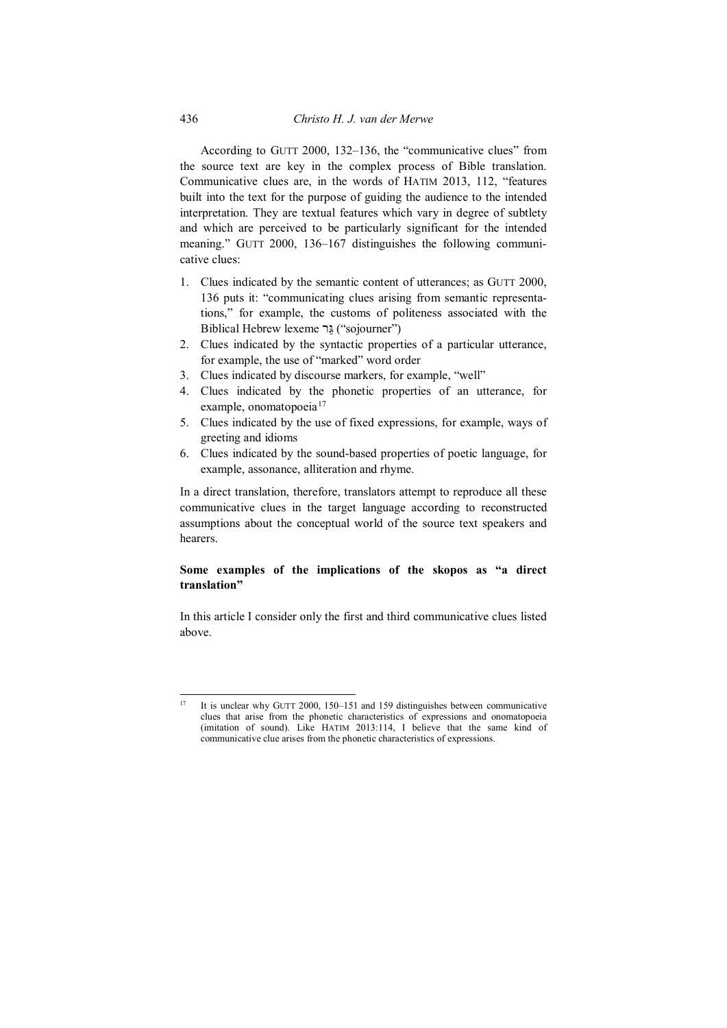According to GUTT 2000, 132–136, the "communicative clues" from the source text are key in the complex process of Bible translation. Communicative clues are, in the words of HATIM 2013, 112, "features built into the text for the purpose of guiding the audience to the intended interpretation. They are textual features which vary in degree of subtlety and which are perceived to be particularly significant for the intended meaning." GUTT 2000, 136–167 distinguishes the following communicative clues:

- 1. Clues indicated by the semantic content of utterances; as GUTT 2000, 136 puts it: "communicating clues arising from semantic representations," for example, the customs of politeness associated with the Biblical Hebrew lexeme רֵגּ") sojourner")
- 2. Clues indicated by the syntactic properties of a particular utterance, for example, the use of "marked" word order
- 3. Clues indicated by discourse markers, for example, "well"
- 4. Clues indicated by the phonetic properties of an utterance, for example, onomatopoeia<sup>[17](#page-7-0)</sup>
- 5. Clues indicated by the use of fixed expressions, for example, ways of greeting and idioms
- 6. Clues indicated by the sound-based properties of poetic language, for example, assonance, alliteration and rhyme.

In a direct translation, therefore, translators attempt to reproduce all these communicative clues in the target language according to reconstructed assumptions about the conceptual world of the source text speakers and hearers.

# **Some examples of the implications of the skopos as "a direct translation"**

In this article I consider only the first and third communicative clues listed above.

<span id="page-7-0"></span><sup>&</sup>lt;sup>17</sup> It is unclear why GUTT 2000, 150–151 and 159 distinguishes between communicative clues that arise from the phonetic characteristics of expressions and onomatopoeia (imitation of sound). Like HATIM 2013:114, I believe that the same kind of communicative clue arises from the phonetic characteristics of expressions.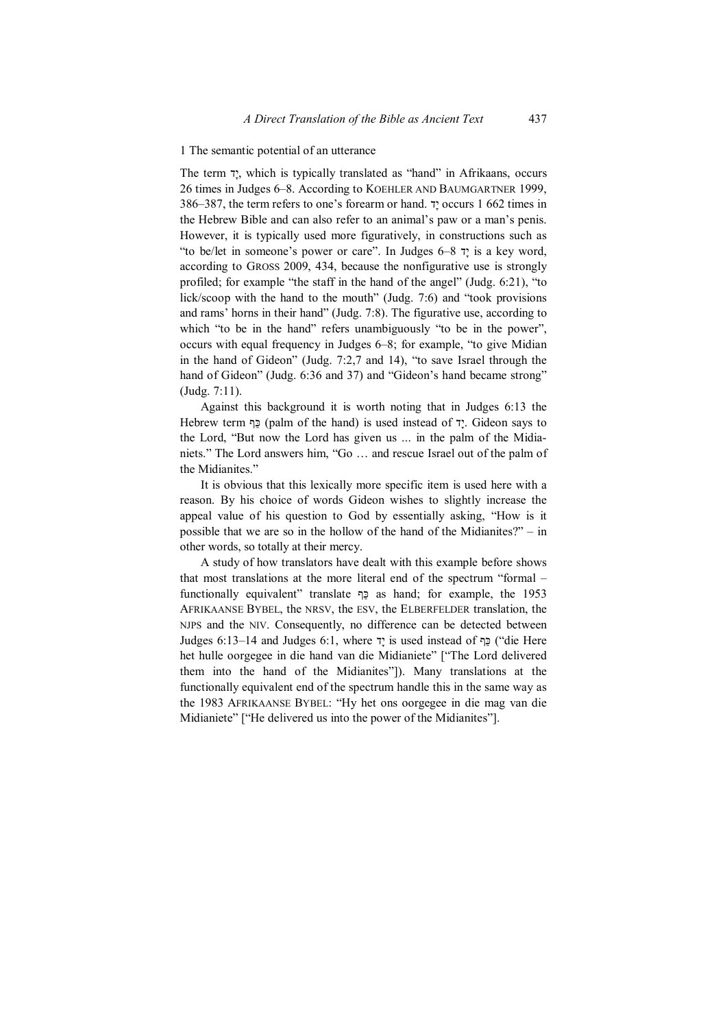#### 1 The semantic potential of an utterance

The term דָי, which is typically translated as "hand" in Afrikaans, occurs 26 times in Judges 6–8. According to KOEHLER AND BAUMGARTNER 1999, 386–387, the term refers to one's forearm or hand. דָי occurs 1 662 times in the Hebrew Bible and can also refer to an animal's paw or a man's penis. However, it is typically used more figuratively, in constructions such as "to be/let in someone's power or care". In Judges 6–8 דָי is a key word, according to GROSS 2009, 434, because the nonfigurative use is strongly profiled; for example "the staff in the hand of the angel" (Judg. 6:21), "to lick/scoop with the hand to the mouth" (Judg. 7:6) and "took provisions and rams' horns in their hand" (Judg. 7:8). The figurative use, according to which "to be in the hand" refers unambiguously "to be in the power", occurs with equal frequency in Judges 6–8; for example, "to give Midian in the hand of Gideon" (Judg. 7:2,7 and 14), "to save Israel through the hand of Gideon" (Judg. 6:36 and 37) and "Gideon's hand became strong" (Judg. 7:11).

Against this background it is worth noting that in Judges 6:13 the Hebrew term ףַכּ) palm of the hand) is used instead of דָי. Gideon says to the Lord, "But now the Lord has given us ... in the palm of the Midianiets." The Lord answers him, "Go … and rescue Israel out of the palm of the Midianites."

It is obvious that this lexically more specific item is used here with a reason. By his choice of words Gideon wishes to slightly increase the appeal value of his question to God by essentially asking, "How is it possible that we are so in the hollow of the hand of the Midianites?" – in other words, so totally at their mercy.

A study of how translators have dealt with this example before shows that most translations at the more literal end of the spectrum "formal – functionally equivalent" translate ףַכּ as hand; for example, the 1953 AFRIKAANSE BYBEL, the NRSV, the ESV, the ELBERFELDER translation, the NJPS and the NIV. Consequently, no difference can be detected between Judges 6:13–14 and Judges 6:1, where דָי is used instead of ףַכּ") die Here het hulle oorgegee in die hand van die Midianiete" ["The Lord delivered them into the hand of the Midianites"]). Many translations at the functionally equivalent end of the spectrum handle this in the same way as the 1983 AFRIKAANSE BYBEL: "Hy het ons oorgegee in die mag van die Midianiete" ["He delivered us into the power of the Midianites"].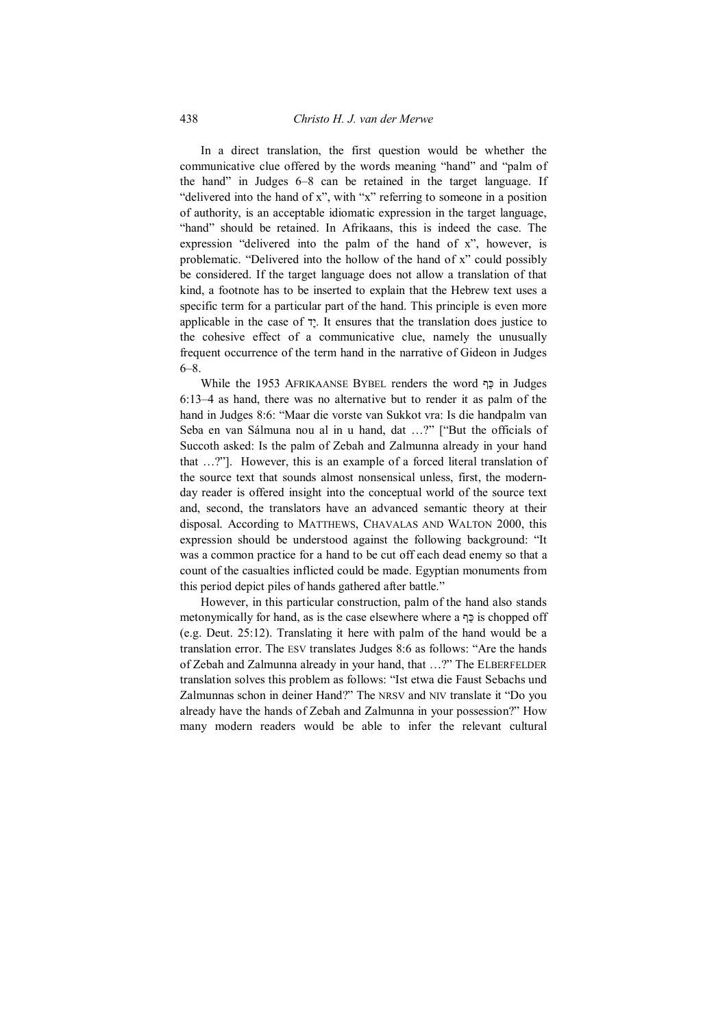In a direct translation, the first question would be whether the communicative clue offered by the words meaning "hand" and "palm of the hand" in Judges 6–8 can be retained in the target language. If "delivered into the hand of x", with "x" referring to someone in a position of authority, is an acceptable idiomatic expression in the target language, "hand" should be retained. In Afrikaans, this is indeed the case. The expression "delivered into the palm of the hand of x", however, is problematic. "Delivered into the hollow of the hand of x" could possibly be considered. If the target language does not allow a translation of that kind, a footnote has to be inserted to explain that the Hebrew text uses a specific term for a particular part of the hand. This principle is even more applicable in the case of דָי. It ensures that the translation does justice to the cohesive effect of a communicative clue, namely the unusually frequent occurrence of the term hand in the narrative of Gideon in Judges 6–8.

While the 1953 AFRIKAANSE BYBEL renders the word ףַכּ in Judges 6:13–4 as hand, there was no alternative but to render it as palm of the hand in Judges 8:6: "Maar die vorste van Sukkot vra: Is die handpalm van Seba en van Sálmuna nou al in u hand, dat …?" ["But the officials of Succoth asked: Is the palm of Zebah and Zalmunna already in your hand that …?"]. However, this is an example of a forced literal translation of the source text that sounds almost nonsensical unless, first, the modernday reader is offered insight into the conceptual world of the source text and, second, the translators have an advanced semantic theory at their disposal. According to MATTHEWS, CHAVALAS AND WALTON 2000, this expression should be understood against the following background: "It was a common practice for a hand to be cut off each dead enemy so that a count of the casualties inflicted could be made. Egyptian monuments from this period depict piles of hands gathered after battle."

However, in this particular construction, palm of the hand also stands metonymically for hand, as is the case elsewhere where a ףַכּ is chopped off (e.g. Deut. 25:12). Translating it here with palm of the hand would be a translation error. The ESV translates Judges 8:6 as follows: "Are the hands of Zebah and Zalmunna already in your hand, that …?" The ELBERFELDER translation solves this problem as follows: "Ist etwa die Faust Sebachs und Zalmunnas schon in deiner Hand?" The NRSV and NIV translate it "Do you already have the hands of Zebah and Zalmunna in your possession?" How many modern readers would be able to infer the relevant cultural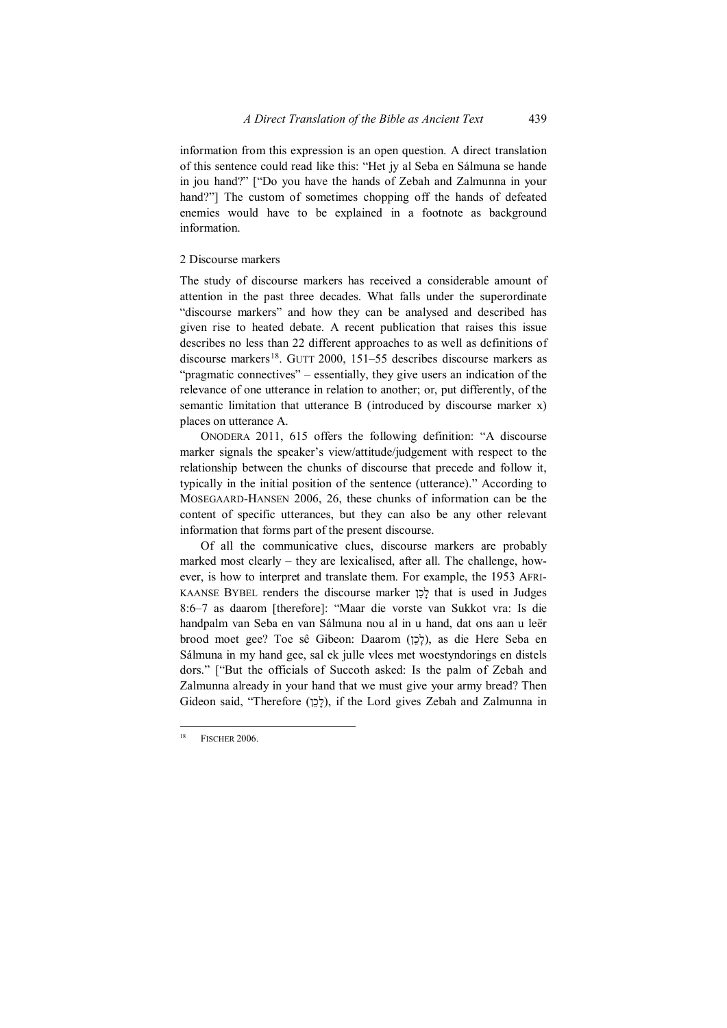information from this expression is an open question. A direct translation of this sentence could read like this: "Het jy al Seba en Sálmuna se hande in jou hand?" ["Do you have the hands of Zebah and Zalmunna in your hand?"] The custom of sometimes chopping off the hands of defeated enemies would have to be explained in a footnote as background information.

## 2 Discourse markers

The study of discourse markers has received a considerable amount of attention in the past three decades. What falls under the superordinate "discourse markers" and how they can be analysed and described has given rise to heated debate. A recent publication that raises this issue describes no less than 22 different approaches to as well as definitions of discourse markers<sup>18</sup>. GUTT 2000, 151–55 describes discourse markers as "pragmatic connectives" – essentially, they give users an indication of the relevance of one utterance in relation to another; or, put differently, of the semantic limitation that utterance B (introduced by discourse marker x) places on utterance A.

ONODERA 2011, 615 offers the following definition: "A discourse marker signals the speaker's view/attitude/judgement with respect to the relationship between the chunks of discourse that precede and follow it, typically in the initial position of the sentence (utterance)." According to MOSEGAARD-HANSEN 2006, 26, these chunks of information can be the content of specific utterances, but they can also be any other relevant information that forms part of the present discourse.

Of all the communicative clues, discourse markers are probably marked most clearly – they are lexicalised, after all. The challenge, however, is how to interpret and translate them. For example, the 1953 AFRI-KAANSE BYBEL renders the discourse marker ןֵכָל that is used in Judges 8:6–7 as daarom [therefore]: "Maar die vorste van Sukkot vra: Is die handpalm van Seba en van Sálmuna nou al in u hand, dat ons aan u leër brood moet gee? Toe sê Gibeon: Daarom (לָבָן), as die Here Seba en Sálmuna in my hand gee, sal ek julle vlees met woestyndorings en distels dors." ["But the officials of Succoth asked: Is the palm of Zebah and Zalmunna already in your hand that we must give your army bread? Then Gideon said, "Therefore (לְכֵוֹ), if the Lord gives Zebah and Zalmunna in

<span id="page-10-0"></span>FISCHER 2006.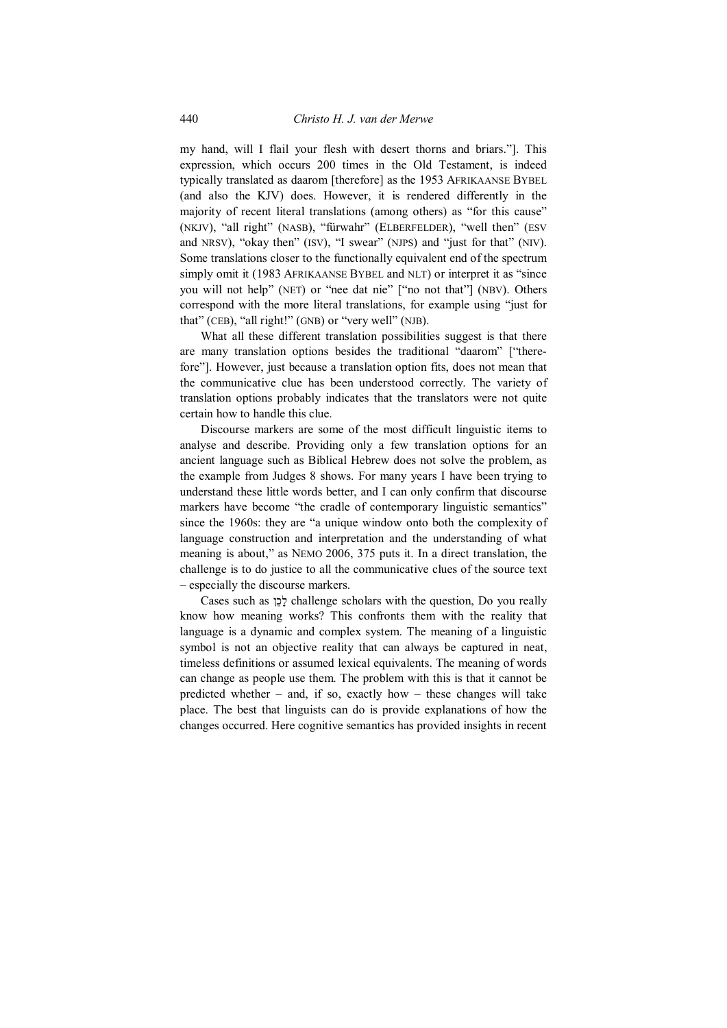my hand, will I flail your flesh with desert thorns and briars."]. This expression, which occurs 200 times in the Old Testament, is indeed typically translated as daarom [therefore] as the 1953 AFRIKAANSE BYBEL (and also the KJV) does. However, it is rendered differently in the majority of recent literal translations (among others) as "for this cause" (NKJV), "all right" (NASB), "fürwahr" (ELBERFELDER), "well then" (ESV and NRSV), "okay then" (ISV), "I swear" (NJPS) and "just for that" (NIV). Some translations closer to the functionally equivalent end of the spectrum simply omit it (1983 AFRIKAANSE BYBEL and NLT) or interpret it as "since you will not help" (NET) or "nee dat nie" ["no not that"] (NBV). Others correspond with the more literal translations, for example using "just for that" (CEB), "all right!" (GNB) or "very well" (NJB).

What all these different translation possibilities suggest is that there are many translation options besides the traditional "daarom" ["therefore"]. However, just because a translation option fits, does not mean that the communicative clue has been understood correctly. The variety of translation options probably indicates that the translators were not quite certain how to handle this clue.

Discourse markers are some of the most difficult linguistic items to analyse and describe. Providing only a few translation options for an ancient language such as Biblical Hebrew does not solve the problem, as the example from Judges 8 shows. For many years I have been trying to understand these little words better, and I can only confirm that discourse markers have become "the cradle of contemporary linguistic semantics" since the 1960s: they are "a unique window onto both the complexity of language construction and interpretation and the understanding of what meaning is about," as NEMO 2006, 375 puts it. In a direct translation, the challenge is to do justice to all the communicative clues of the source text – especially the discourse markers.

Cases such as ןֵכָל challenge scholars with the question, Do you really know how meaning works? This confronts them with the reality that language is a dynamic and complex system. The meaning of a linguistic symbol is not an objective reality that can always be captured in neat, timeless definitions or assumed lexical equivalents. The meaning of words can change as people use them. The problem with this is that it cannot be predicted whether – and, if so, exactly how – these changes will take place. The best that linguists can do is provide explanations of how the changes occurred. Here cognitive semantics has provided insights in recent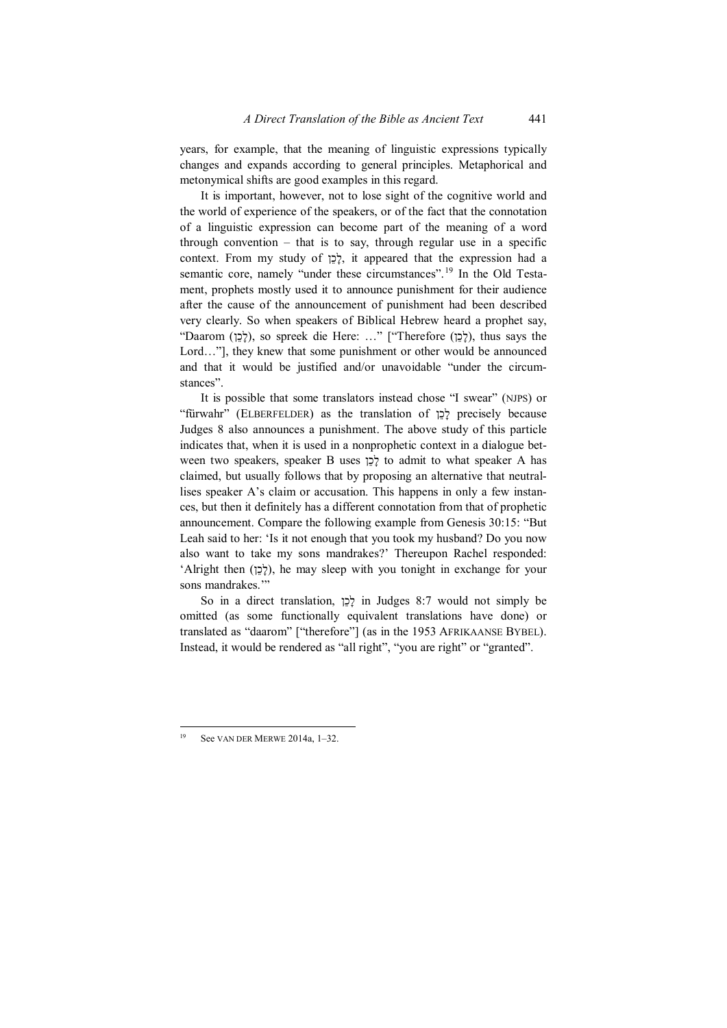years, for example, that the meaning of linguistic expressions typically changes and expands according to general principles. Metaphorical and metonymical shifts are good examples in this regard.

It is important, however, not to lose sight of the cognitive world and the world of experience of the speakers, or of the fact that the connotation of a linguistic expression can become part of the meaning of a word through convention  $-$  that is to say, through regular use in a specific context. From my study of ןֵכָל, it appeared that the expression had a semantic core, namely "under these circumstances".<sup>[19](#page-12-0)</sup> In the Old Testament, prophets mostly used it to announce punishment for their audience after the cause of the announcement of punishment had been described very clearly. So when speakers of Biblical Hebrew heard a prophet say, "Daarom (לֶכֵן), so spreek die Here: ..." ["Therefore (לֶכֶן), thus says the Lord…"], they knew that some punishment or other would be announced and that it would be justified and/or unavoidable "under the circumstances".

It is possible that some translators instead chose "I swear" (NJPS) or "fürwahr" (ELBERFELDER) as the translation of ןֵכָל precisely because Judges 8 also announces a punishment. The above study of this particle indicates that, when it is used in a nonprophetic context in a dialogue between two speakers, speaker B uses ןֵכָל to admit to what speaker A has claimed, but usually follows that by proposing an alternative that neutrallises speaker A's claim or accusation. This happens in only a few instances, but then it definitely has a different connotation from that of prophetic announcement. Compare the following example from Genesis 30:15: "But Leah said to her: 'Is it not enough that you took my husband? Do you now also want to take my sons mandrakes?' Thereupon Rachel responded: 'Alright then (לְכָן), he may sleep with you tonight in exchange for your sons mandrakes."

So in a direct translation, לְכֵן in Judges 8:7 would not simply be omitted (as some functionally equivalent translations have done) or translated as "daarom" ["therefore"] (as in the 1953 AFRIKAANSE BYBEL). Instead, it would be rendered as "all right", "you are right" or "granted".

<span id="page-12-0"></span>See VAN DER MERWE 2014a, 1-32.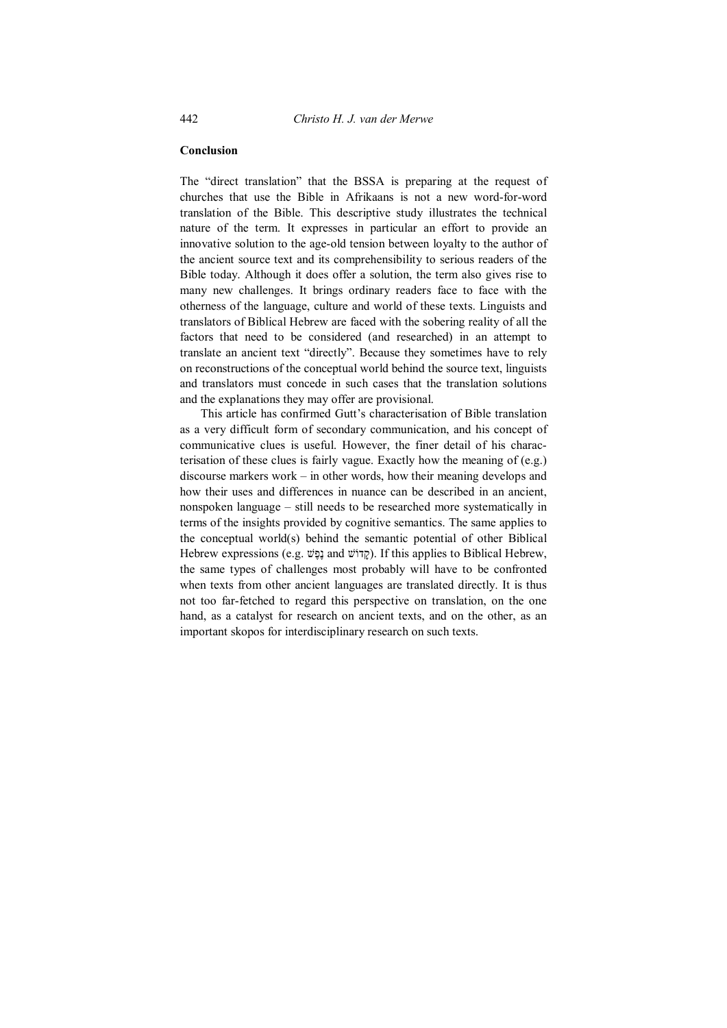#### **Conclusion**

The "direct translation" that the BSSA is preparing at the request of churches that use the Bible in Afrikaans is not a new word-for-word translation of the Bible. This descriptive study illustrates the technical nature of the term. It expresses in particular an effort to provide an innovative solution to the age-old tension between loyalty to the author of the ancient source text and its comprehensibility to serious readers of the Bible today. Although it does offer a solution, the term also gives rise to many new challenges. It brings ordinary readers face to face with the otherness of the language, culture and world of these texts. Linguists and translators of Biblical Hebrew are faced with the sobering reality of all the factors that need to be considered (and researched) in an attempt to translate an ancient text "directly". Because they sometimes have to rely on reconstructions of the conceptual world behind the source text, linguists and translators must concede in such cases that the translation solutions and the explanations they may offer are provisional.

This article has confirmed Gutt's characterisation of Bible translation as a very difficult form of secondary communication, and his concept of communicative clues is useful. However, the finer detail of his characterisation of these clues is fairly vague. Exactly how the meaning of (e.g.) discourse markers work – in other words, how their meaning develops and how their uses and differences in nuance can be described in an ancient, nonspoken language – still needs to be researched more systematically in terms of the insights provided by cognitive semantics. The same applies to the conceptual world(s) behind the semantic potential of other Biblical Hebrew expressions (e.g. נֶפֶּשׁ and נָקְדוֹשׁ). If this applies to Biblical Hebrew, the same types of challenges most probably will have to be confronted when texts from other ancient languages are translated directly. It is thus not too far-fetched to regard this perspective on translation, on the one hand, as a catalyst for research on ancient texts, and on the other, as an important skopos for interdisciplinary research on such texts.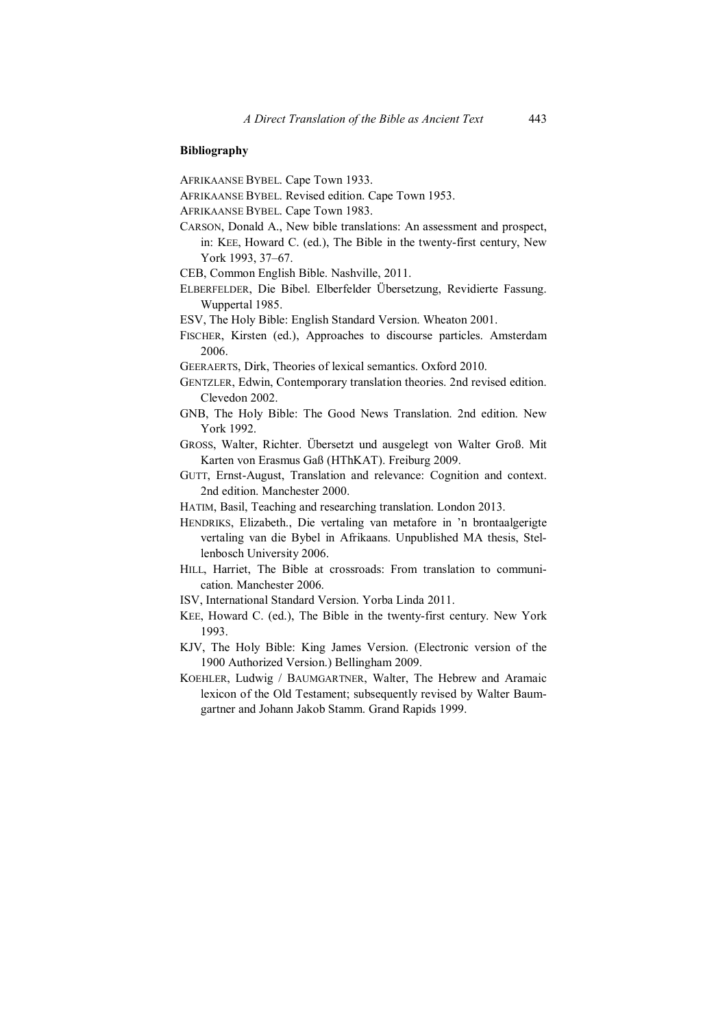# **Bibliography**

AFRIKAANSE BYBEL. Cape Town 1933.

- AFRIKAANSE BYBEL. Revised edition. Cape Town 1953.
- AFRIKAANSE BYBEL. Cape Town 1983.
- CARSON, Donald A., New bible translations: An assessment and prospect, in: KEE, Howard C. (ed.), The Bible in the twenty-first century, New York 1993, 37–67.
- CEB, Common English Bible. Nashville, 2011.
- ELBERFELDER, Die Bibel. Elberfelder Übersetzung, Revidierte Fassung. Wuppertal 1985.
- ESV, The Holy Bible: English Standard Version. Wheaton 2001.
- FISCHER, Kirsten (ed.), Approaches to discourse particles. Amsterdam 2006.
- GEERAERTS, Dirk, Theories of lexical semantics. Oxford 2010.
- GENTZLER, Edwin, Contemporary translation theories. 2nd revised edition. Clevedon 2002.
- GNB, The Holy Bible: The Good News Translation. 2nd edition. New York 1992.
- GROSS, Walter, Richter. Übersetzt und ausgelegt von Walter Groß. Mit Karten von Erasmus Gaß (HThKAT). Freiburg 2009.
- GUTT, Ernst-August, Translation and relevance: Cognition and context. 2nd edition. Manchester 2000.
- HATIM, Basil, Teaching and researching translation. London 2013.
- HENDRIKS, Elizabeth., Die vertaling van metafore in 'n brontaalgerigte vertaling van die Bybel in Afrikaans. Unpublished MA thesis, Stellenbosch University 2006.
- HILL, Harriet, The Bible at crossroads: From translation to communication. Manchester 2006.
- ISV, International Standard Version. Yorba Linda 2011.
- KEE, Howard C. (ed.), The Bible in the twenty-first century. New York 1993.
- KJV, The Holy Bible: King James Version. (Electronic version of the 1900 Authorized Version.) Bellingham 2009.
- KOEHLER, Ludwig / BAUMGARTNER, Walter, The Hebrew and Aramaic lexicon of the Old Testament; subsequently revised by Walter Baumgartner and Johann Jakob Stamm. Grand Rapids 1999.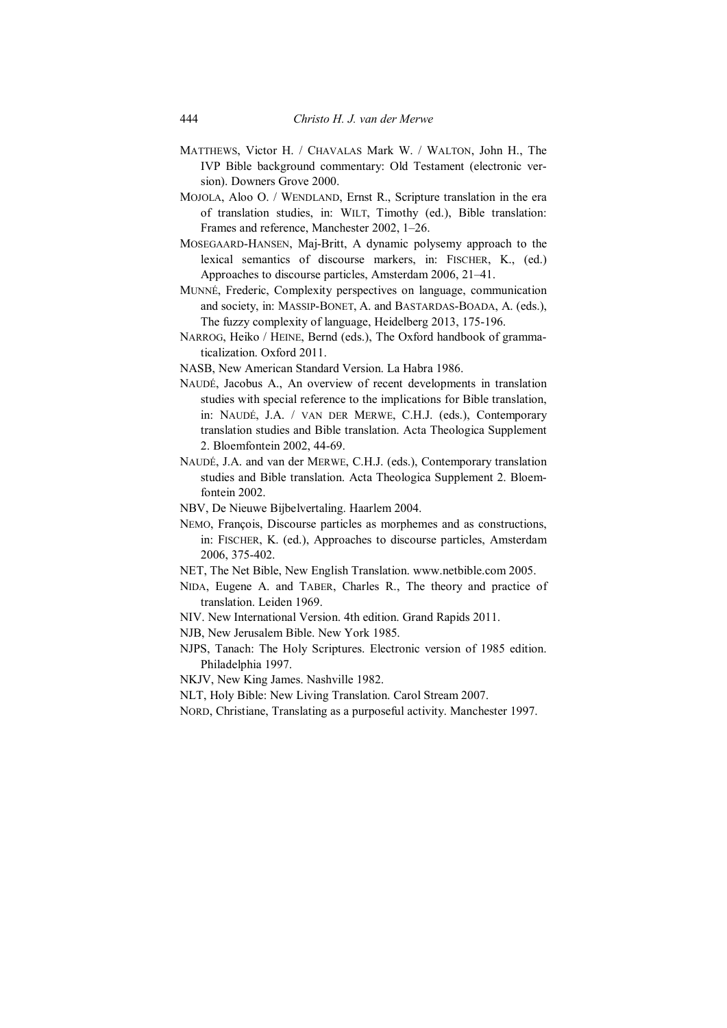- MATTHEWS, Victor H. / CHAVALAS Mark W. / WALTON, John H., The IVP Bible background commentary: Old Testament (electronic version). Downers Grove 2000.
- MOJOLA, Aloo O. / WENDLAND, Ernst R., Scripture translation in the era of translation studies, in: WILT, Timothy (ed.), Bible translation: Frames and reference, Manchester 2002, 1–26.
- MOSEGAARD-HANSEN, Maj-Britt, A dynamic polysemy approach to the lexical semantics of discourse markers, in: FISCHER, K., (ed.) Approaches to discourse particles, Amsterdam 2006, 21–41.
- MUNNÉ, Frederic, Complexity perspectives on language, communication and society, in: MASSIP-BONET, A. and BASTARDAS-BOADA, A. (eds.), The fuzzy complexity of language, Heidelberg 2013, 175-196.
- NARROG, Heiko / HEINE, Bernd (eds.), The Oxford handbook of grammaticalization. Oxford 2011.

NASB, New American Standard Version. La Habra 1986.

- NAUDÉ, Jacobus A., An overview of recent developments in translation studies with special reference to the implications for Bible translation, in: NAUDÉ, J.A. / VAN DER MERWE, C.H.J. (eds.), Contemporary translation studies and Bible translation. Acta Theologica Supplement 2. Bloemfontein 2002, 44-69.
- NAUDÉ, J.A. and van der MERWE, C.H.J. (eds.), Contemporary translation studies and Bible translation. Acta Theologica Supplement 2. Bloemfontein 2002.
- NBV, De Nieuwe Bijbelvertaling. Haarlem 2004.
- NEMO, François, Discourse particles as morphemes and as constructions, in: FISCHER, K. (ed.), Approaches to discourse particles, Amsterdam 2006, 375-402.
- NET, The Net Bible, New English Translation. www.netbible.com 2005.
- NIDA, Eugene A. and TABER, Charles R., The theory and practice of translation. Leiden 1969.
- NIV. New International Version. 4th edition. Grand Rapids 2011.
- NJB, New Jerusalem Bible. New York 1985.
- NJPS, Tanach: The Holy Scriptures. Electronic version of 1985 edition. Philadelphia 1997.
- NKJV, New King James. Nashville 1982.
- NLT, Holy Bible: New Living Translation. Carol Stream 2007.
- NORD, Christiane, Translating as a purposeful activity. Manchester 1997.